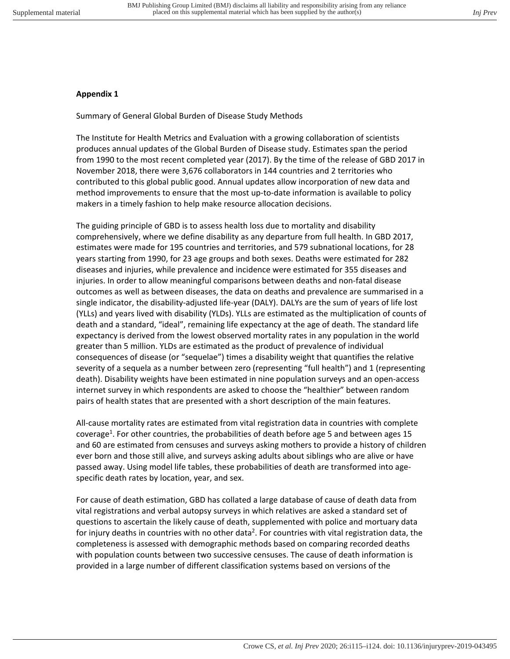## **Appendix 1**

Summary of General Global Burden of Disease Study Methods

The Institute for Health Metrics and Evaluation with a growing collaboration of scientists produces annual updates of the Global Burden of Disease study. Estimates span the period from 1990 to the most recent completed year (2017). By the time of the release of GBD 2017 in November 2018, there were 3,676 collaborators in 144 countries and 2 territories who contributed to this global public good. Annual updates allow incorporation of new data and method improvements to ensure that the most up-to-date information is available to policy makers in a timely fashion to help make resource allocation decisions.

The guiding principle of GBD is to assess health loss due to mortality and disability comprehensively, where we define disability as any departure from full health. In GBD 2017, estimates were made for 195 countries and territories, and 579 subnational locations, for 28 years starting from 1990, for 23 age groups and both sexes. Deaths were estimated for 282 diseases and injuries, while prevalence and incidence were estimated for 355 diseases and injuries. In order to allow meaningful comparisons between deaths and non-fatal disease outcomes as well as between diseases, the data on deaths and prevalence are summarised in a single indicator, the disability-adjusted life-year (DALY). DALYs are the sum of years of life lost (YLLs) and years lived with disability (YLDs). YLLs are estimated as the multiplication of counts of death and a standard, "ideal", remaining life expectancy at the age of death. The standard life expectancy is derived from the lowest observed mortality rates in any population in the world greater than 5 million. YLDs are estimated as the product of prevalence of individual consequences of disease (or "sequelae") times a disability weight that quantifies the relative severity of a sequela as a number between zero (representing "full health") and 1 (representing death). Disability weights have been estimated in nine population surveys and an open-access internet survey in which respondents are asked to choose the "healthier" between random pairs of health states that are presented with a short description of the main features.

All-cause mortality rates are estimated from vital registration data in countries with complete coverage<sup>1</sup>. For other countries, the probabilities of death before age 5 and between ages 15 and 60 are estimated from censuses and surveys asking mothers to provide a history of children ever born and those still alive, and surveys asking adults about siblings who are alive or have passed away. Using model life tables, these probabilities of death are transformed into agespecific death rates by location, year, and sex.

For cause of death estimation, GBD has collated a large database of cause of death data from vital registrations and verbal autopsy surveys in which relatives are asked a standard set of questions to ascertain the likely cause of death, supplemented with police and mortuary data for injury deaths in countries with no other data<sup>2</sup>. For countries with vital registration data, the completeness is assessed with demographic methods based on comparing recorded deaths with population counts between two successive censuses. The cause of death information is provided in a large number of different classification systems based on versions of the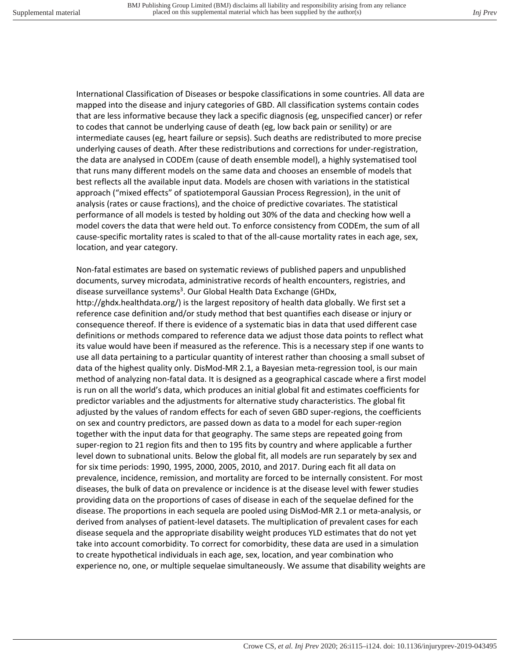International Classification of Diseases or bespoke classifications in some countries. All data are mapped into the disease and injury categories of GBD. All classification systems contain codes that are less informative because they lack a specific diagnosis (eg, unspecified cancer) or refer to codes that cannot be underlying cause of death (eg, low back pain or senility) or are intermediate causes (eg, heart failure or sepsis). Such deaths are redistributed to more precise underlying causes of death. After these redistributions and corrections for under-registration, the data are analysed in CODEm (cause of death ensemble model), a highly systematised tool that runs many different models on the same data and chooses an ensemble of models that best reflects all the available input data. Models are chosen with variations in the statistical approach ("mixed effects" of spatiotemporal Gaussian Process Regression), in the unit of analysis (rates or cause fractions), and the choice of predictive covariates. The statistical performance of all models is tested by holding out 30% of the data and checking how well a model covers the data that were held out. To enforce consistency from CODEm, the sum of all cause-specific mortality rates is scaled to that of the all-cause mortality rates in each age, sex, location, and year category.

Non-fatal estimates are based on systematic reviews of published papers and unpublished documents, survey microdata, administrative records of health encounters, registries, and disease surveillance systems<sup>3</sup>. Our Global Health Data Exchange (GHDx,

http://ghdx.healthdata.org/) is the largest repository of health data globally. We first set a reference case definition and/or study method that best quantifies each disease or injury or consequence thereof. If there is evidence of a systematic bias in data that used different case definitions or methods compared to reference data we adjust those data points to reflect what its value would have been if measured as the reference. This is a necessary step if one wants to use all data pertaining to a particular quantity of interest rather than choosing a small subset of data of the highest quality only. DisMod-MR 2.1, a Bayesian meta-regression tool, is our main method of analyzing non-fatal data. It is designed as a geographical cascade where a first model is run on all the world's data, which produces an initial global fit and estimates coefficients for predictor variables and the adjustments for alternative study characteristics. The global fit adjusted by the values of random effects for each of seven GBD super-regions, the coefficients on sex and country predictors, are passed down as data to a model for each super-region together with the input data for that geography. The same steps are repeated going from super-region to 21 region fits and then to 195 fits by country and where applicable a further level down to subnational units. Below the global fit, all models are run separately by sex and for six time periods: 1990, 1995, 2000, 2005, 2010, and 2017. During each fit all data on prevalence, incidence, remission, and mortality are forced to be internally consistent. For most diseases, the bulk of data on prevalence or incidence is at the disease level with fewer studies providing data on the proportions of cases of disease in each of the sequelae defined for the disease. The proportions in each sequela are pooled using DisMod-MR 2.1 or meta-analysis, or derived from analyses of patient-level datasets. The multiplication of prevalent cases for each disease sequela and the appropriate disability weight produces YLD estimates that do not yet take into account comorbidity. To correct for comorbidity, these data are used in a simulation to create hypothetical individuals in each age, sex, location, and year combination who experience no, one, or multiple sequelae simultaneously. We assume that disability weights are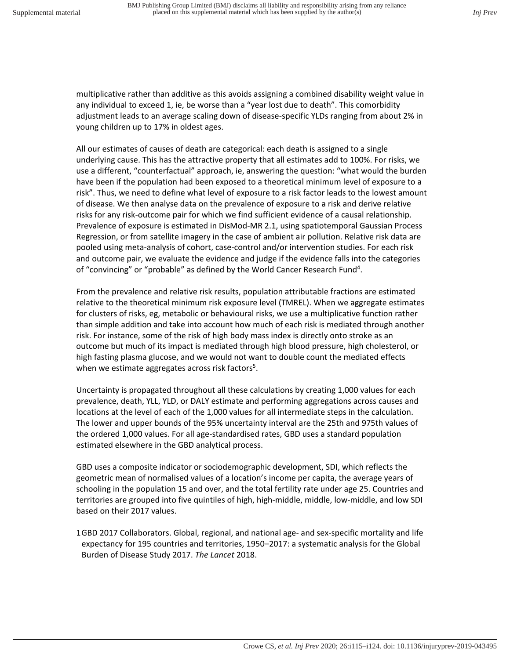multiplicative rather than additive as this avoids assigning a combined disability weight value in any individual to exceed 1, ie, be worse than a "year lost due to death". This comorbidity adjustment leads to an average scaling down of disease-specific YLDs ranging from about 2% in young children up to 17% in oldest ages.

All our estimates of causes of death are categorical: each death is assigned to a single underlying cause. This has the attractive property that all estimates add to 100%. For risks, we use a different, "counterfactual" approach, ie, answering the question: "what would the burden have been if the population had been exposed to a theoretical minimum level of exposure to a risk". Thus, we need to define what level of exposure to a risk factor leads to the lowest amount of disease. We then analyse data on the prevalence of exposure to a risk and derive relative risks for any risk-outcome pair for which we find sufficient evidence of a causal relationship. Prevalence of exposure is estimated in DisMod-MR 2.1, using spatiotemporal Gaussian Process Regression, or from satellite imagery in the case of ambient air pollution. Relative risk data are pooled using meta-analysis of cohort, case-control and/or intervention studies. For each risk and outcome pair, we evaluate the evidence and judge if the evidence falls into the categories of "convincing" or "probable" as defined by the World Cancer Research Fund<sup>4</sup>.

From the prevalence and relative risk results, population attributable fractions are estimated relative to the theoretical minimum risk exposure level (TMREL). When we aggregate estimates for clusters of risks, eg, metabolic or behavioural risks, we use a multiplicative function rather than simple addition and take into account how much of each risk is mediated through another risk. For instance, some of the risk of high body mass index is directly onto stroke as an outcome but much of its impact is mediated through high blood pressure, high cholesterol, or high fasting plasma glucose, and we would not want to double count the mediated effects when we estimate aggregates across risk factors<sup>5</sup>.

Uncertainty is propagated throughout all these calculations by creating 1,000 values for each prevalence, death, YLL, YLD, or DALY estimate and performing aggregations across causes and locations at the level of each of the 1,000 values for all intermediate steps in the calculation. The lower and upper bounds of the 95% uncertainty interval are the 25th and 975th values of the ordered 1,000 values. For all age-standardised rates, GBD uses a standard population estimated elsewhere in the GBD analytical process.

GBD uses a composite indicator or sociodemographic development, SDI, which reflects the geometric mean of normalised values of a location's income per capita, the average years of schooling in the population 15 and over, and the total fertility rate under age 25. Countries and territories are grouped into five quintiles of high, high-middle, middle, low-middle, and low SDI based on their 2017 values.

1 GBD 2017 Collaborators. Global, regional, and national age- and sex-specific mortality and life expectancy for 195 countries and territories, 1950–2017: a systematic analysis for the Global Burden of Disease Study 2017. *The Lancet* 2018.